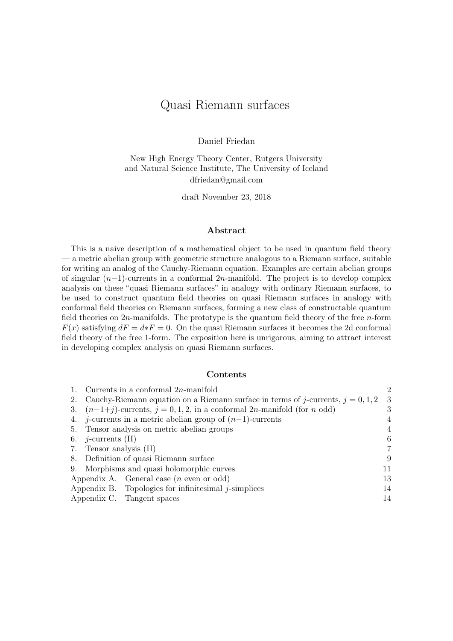## Quasi Riemann surfaces

Daniel Friedan

New High Energy Theory Center, Rutgers University and Natural Science Institute, The University of Iceland dfriedan@gmail.com

draft November 23, 2018

## Abstract

This is a naive description of a mathematical object to be used in quantum field theory — a metric abelian group with geometric structure analogous to a Riemann surface, suitable for writing an analog of the Cauchy-Riemann equation. Examples are certain abelian groups of singular (n−1)-currents in a conformal 2n-manifold. The project is to develop complex analysis on these "quasi Riemann surfaces" in analogy with ordinary Riemann surfaces, to be used to construct quantum field theories on quasi Riemann surfaces in analogy with conformal field theories on Riemann surfaces, forming a new class of constructable quantum field theories on  $2n$ -manifolds. The prototype is the quantum field theory of the free n-form  $F(x)$  satisfying  $dF = d * F = 0$ . On the quasi Riemann surfaces it becomes the 2d conformal field theory of the free 1-form. The exposition here is unrigorous, aiming to attract interest in developing complex analysis on quasi Riemann surfaces.

#### Contents

|    | 1. Currents in a conformal $2n$ -manifold                                                   | $\overline{2}$ |
|----|---------------------------------------------------------------------------------------------|----------------|
|    | 2. Cauchy-Riemann equation on a Riemann surface in terms of j-currents, $j = 0, 1, 2$       | -3             |
| 3. | $(n-1+j)$ -currents, $j = 0, 1, 2$ , in a conformal 2 <i>n</i> -manifold (for <i>n</i> odd) | 3              |
|    | 4. j-currents in a metric abelian group of $(n-1)$ -currents                                | 4              |
|    | 5. Tensor analysis on metric abelian groups                                                 | 4              |
|    | 6. <i>j</i> -currents $(II)$                                                                | 6              |
|    | 7. Tensor analysis (II)                                                                     |                |
|    | 8. Definition of quasi Riemann surface                                                      | 9              |
|    | 9. Morphisms and quasi holomorphic curves                                                   | 11             |
|    | Appendix A. General case $(n \text{ even or odd})$                                          | 13             |
|    | Appendix B. Topologies for infinitesimal $j$ -simplices                                     | 14             |
|    | Appendix C. Tangent spaces                                                                  | 14             |
|    |                                                                                             |                |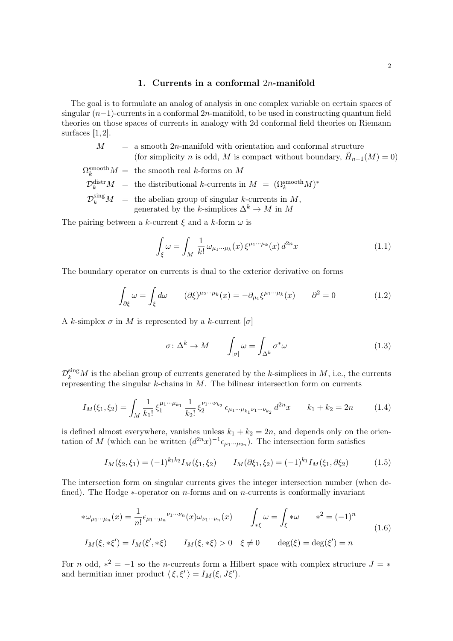### 1. Currents in a conformal 2n-manifold

<span id="page-1-0"></span>The goal is to formulate an analog of analysis in one complex variable on certain spaces of singular  $(n-1)$ -currents in a conformal 2n-manifold, to be used in constructing quantum field theories on those spaces of currents in analogy with 2d conformal field theories on Riemann surfaces  $[1, 2]$  $[1, 2]$  $[1, 2]$ .

- $M = a$  smooth 2n-manifold with orientation and conformal structure (for simplicity *n* is odd, *M* is compact without boundary,  $\tilde{H}_{n-1}(M) = 0$ )
- $\Omega_k^{\mathrm{smooth}} M = \text{ the smooth real } k \text{-forms on } M$  $\mathcal{D}_k^{\text{distr}} M = \text{ the distributional } k\text{-currents in } M = (\Omega_k^{\text{smooth}} M)^*$  $\mathcal{D}_k^{\text{sing}}M = \text{ the abelian group of singular } k\text{-currents in } M,$ generated by the k-simplices  $\Delta^k \to M$  in M

The pairing between a k-current  $\xi$  and a k-form  $\omega$  is

$$
\int_{\xi} \omega = \int_M \frac{1}{k!} \omega_{\mu_1 \cdots \mu_k}(x) \xi^{\mu_1 \cdots \mu_k}(x) d^{2n}x \tag{1.1}
$$

The boundary operator on currents is dual to the exterior derivative on forms

$$
\int_{\partial \xi} \omega = \int_{\xi} d\omega \qquad (\partial \xi)^{\mu_2 \cdots \mu_k}(x) = -\partial_{\mu_1} \xi^{\mu_1 \cdots \mu_k}(x) \qquad \partial^2 = 0 \tag{1.2}
$$

A k-simplex  $\sigma$  in M is represented by a k-current  $[\sigma]$ 

$$
\sigma \colon \Delta^k \to M \qquad \int_{[\sigma]} \omega = \int_{\Delta^k} \sigma^* \omega \tag{1.3}
$$

 $\mathcal{D}_k^{\text{sing}}M$  is the abelian group of currents generated by the k-simplices in M, i.e., the currents representing the singular k-chains in  $M$ . The bilinear intersection form on currents

$$
I_M(\xi_1, \xi_2) = \int_M \frac{1}{k_1!} \, \xi_1^{\mu_1 \cdots \mu_{k_1}} \, \frac{1}{k_2!} \, \xi_2^{\nu_1 \cdots \nu_{k_2}} \, \epsilon_{\mu_1 \cdots \mu_{k_1} \nu_1 \cdots \nu_{k_2}} \, d^{2n}x \qquad k_1 + k_2 = 2n \tag{1.4}
$$

is defined almost everywhere, vanishes unless  $k_1 + k_2 = 2n$ , and depends only on the orientation of M (which can be written  $(d^{2n}x)^{-1} \epsilon_{\mu_1\cdots\mu_{2n}}$ ). The intersection form satisfies

$$
I_M(\xi_2, \xi_1) = (-1)^{k_1 k_2} I_M(\xi_1, \xi_2) \qquad I_M(\partial \xi_1, \xi_2) = (-1)^{k_1} I_M(\xi_1, \partial \xi_2) \tag{1.5}
$$

The intersection form on singular currents gives the integer intersection number (when defined). The Hodge  $*$ -operator on *n*-forms and on *n*-currents is conformally invariant

$$
\ast \omega_{\mu_1 \cdots \mu_n}(x) = \frac{1}{n!} \epsilon_{\mu_1 \cdots \mu_n}{}^{\nu_1 \cdots \nu_n}(x) \omega_{\nu_1 \cdots \nu_n}(x) \qquad \int_{*\xi} \omega = \int_{\xi} * \omega \qquad *^2 = (-1)^n
$$
  
\n
$$
I_M(\xi, * \xi') = I_M(\xi', * \xi) \qquad I_M(\xi, * \xi) > 0 \quad \xi \neq 0 \qquad \deg(\xi) = \deg(\xi') = n
$$
\n(1.6)

For n odd,  $*^2 = -1$  so the n-currents form a Hilbert space with complex structure  $J = *$ and hermitian inner product  $\langle \xi, \xi' \rangle = I_M(\xi, J\xi').$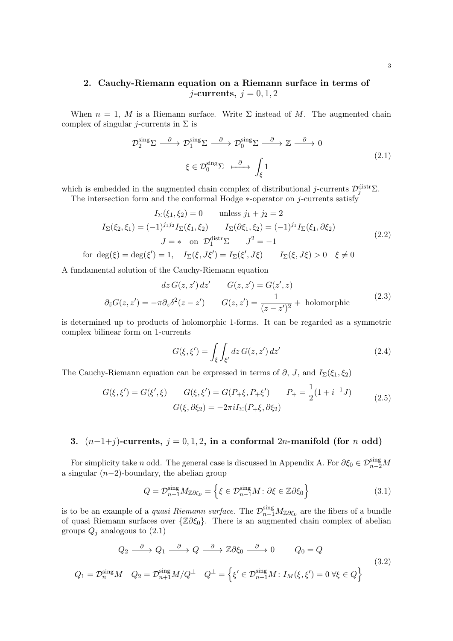## <span id="page-2-0"></span>2. Cauchy-Riemann equation on a Riemann surface in terms of  $j$ -currents,  $j = 0, 1, 2$

When  $n = 1$ , M is a Riemann surface. Write  $\Sigma$  instead of M. The augmented chain complex of singular j-currents in  $\Sigma$  is

<span id="page-2-2"></span>
$$
\mathcal{D}_2^{\text{sing}} \Sigma \xrightarrow{\partial} \mathcal{D}_1^{\text{sing}} \Sigma \xrightarrow{\partial} \mathcal{D}_0^{\text{sing}} \Sigma \xrightarrow{\partial} \mathbb{Z} \xrightarrow{\partial} 0
$$
\n
$$
\xi \in \mathcal{D}_0^{\text{sing}} \Sigma \xrightarrow{\partial} \int_{\xi} 1
$$
\n(2.1)

which is embedded in the augmented chain complex of distributional j-currents  $\mathcal{D}_j^{\text{distr}}\Sigma$ . The intersection form and the conformal Hodge  $*$ -operator on j-currents satisfy

$$
I_{\Sigma}(\xi_1, \xi_2) = 0 \quad \text{unless } j_1 + j_2 = 2
$$
  
\n
$$
I_{\Sigma}(\xi_2, \xi_1) = (-1)^{j_1 j_2} I_{\Sigma}(\xi_1, \xi_2) \qquad I_{\Sigma}(\partial \xi_1, \xi_2) = (-1)^{j_1} I_{\Sigma}(\xi_1, \partial \xi_2)
$$
  
\n
$$
J = * \text{ on } \mathcal{D}_1^{\text{distr}} \Sigma \qquad J^2 = -1
$$
\n(2.2)

<span id="page-2-3"></span>for  $\deg(\xi) = \deg(\xi') = 1$ ,  $I_{\Sigma}(\xi, J\xi') = I_{\Sigma}(\xi')$  $I_{\Sigma}(\xi, J\xi) > 0 \quad \xi \neq 0$ 

A fundamental solution of the Cauchy-Riemann equation

$$
dz G(z, z') dz' \qquad G(z, z') = G(z', z)
$$
  

$$
\partial_{\bar{z}}G(z, z') = -\pi \partial_z \delta^2(z - z') \qquad G(z, z') = \frac{1}{(z - z')^2} + \text{holomorphic}
$$
 (2.3)

is determined up to products of holomorphic 1-forms. It can be regarded as a symmetric complex bilinear form on 1-currents

$$
G(\xi, \xi') = \int_{\xi} \int_{\xi'} dz \, G(z, z') \, dz' \tag{2.4}
$$

The Cauchy-Riemann equation can be expressed in terms of  $\partial$ , J, and I<sub> $\Sigma$ </sub>( $\xi_1$ ,  $\xi_2$ )

<span id="page-2-5"></span>
$$
G(\xi, \xi') = G(\xi', \xi) \qquad G(\xi, \xi') = G(P_{+}\xi, P_{+}\xi') \qquad P_{+} = \frac{1}{2}(1 + i^{-1}J) \qquad (2.5)
$$

$$
G(\xi, \partial \xi_{2}) = -2\pi i I_{\Sigma}(P_{+}\xi, \partial \xi_{2})
$$

## <span id="page-2-1"></span>3.  $(n-1+j)$ -currents,  $j = 0, 1, 2$ , in a conformal 2n-manifold (for n odd)

For simplicity take *n* odd. The general case is discussed in Appendix [A.](#page-12-0) For  $\partial \xi_0 \in \mathcal{D}_{n-2}^{\text{sing}}M$ a singular  $(n-2)$ -boundary, the abelian group

$$
Q = \mathcal{D}_{n-1}^{\text{sing}} M_{\mathbb{Z}\partial\xi_0} = \left\{ \xi \in \mathcal{D}_{n-1}^{\text{sing}} M : \partial\xi \in \mathbb{Z}\partial\xi_0 \right\} \tag{3.1}
$$

is to be an example of a *quasi Riemann surface*. The  $\mathcal{D}_{n-1}^{\text{sing}}M_{\mathbb{Z}\partial\xi_0}$  are the fibers of a bundle of quasi Riemann surfaces over  $\{\mathbb{Z}\partial \xi_0\}$ . There is an augmented chain complex of abelian groups  $Q_j$  analogous to  $(2.1)$ 

<span id="page-2-4"></span>
$$
Q_2 \xrightarrow{\partial} Q_1 \xrightarrow{\partial} Q \xrightarrow{\partial} \mathbb{Z}\partial \xi_0 \xrightarrow{\partial} 0 \qquad Q_0 = Q
$$
  

$$
Q_1 = \mathcal{D}_n^{\text{sing}} M \quad Q_2 = \mathcal{D}_{n+1}^{\text{sing}} M / Q^{\perp} \quad Q^{\perp} = \left\{ \xi' \in \mathcal{D}_{n+1}^{\text{sing}} M : I_M(\xi, \xi') = 0 \ \forall \xi \in Q \right\}
$$

$$
(3.2)
$$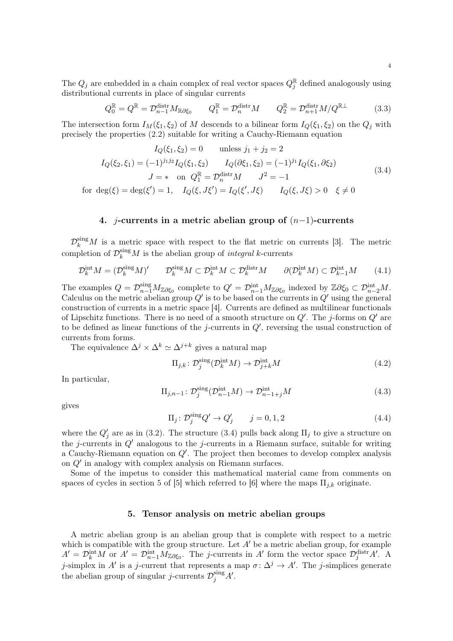The  $Q_j$  are embedded in a chain complex of real vector spaces  $Q_j^{\mathbb{R}}$  defined analogously using distributional currents in place of singular currents

$$
Q_0^{\mathbb{R}} = Q^{\mathbb{R}} = \mathcal{D}_{n-1}^{\text{distr}} M_{\mathbb{R}\partial\xi_0} \qquad Q_1^{\mathbb{R}} = \mathcal{D}_n^{\text{distr}} M \qquad Q_2^{\mathbb{R}} = \mathcal{D}_{n+1}^{\text{distr}} M / Q^{\mathbb{R}\perp} \tag{3.3}
$$

The intersection form  $I_M(\xi_1, \xi_2)$  of M descends to a bilinear form  $I_Q(\xi_1, \xi_2)$  on the  $Q_i$  with precisely the properties [\(2.2\)](#page-2-3) suitable for writing a Cauchy-Riemann equation

<span id="page-3-2"></span>
$$
I_Q(\xi_1, \xi_2) = 0 \quad \text{unless } j_1 + j_2 = 2
$$
  
\n
$$
I_Q(\xi_2, \xi_1) = (-1)^{j_1 j_2} I_Q(\xi_1, \xi_2) \qquad I_Q(\partial \xi_1, \xi_2) = (-1)^{j_1} I_Q(\xi_1, \partial \xi_2)
$$
  
\n
$$
J = * \quad \text{on } Q_1^{\mathbb{R}} = \mathcal{D}_n^{\text{distr}} M \qquad J^2 = -1
$$
  
\nfor  $\deg(\xi) = \deg(\xi') = 1, \quad I_Q(\xi, J\xi') = I_Q(\xi', J\xi) \qquad I_Q(\xi, J\xi) > 0 \quad \xi \neq 0$  (3.4)

### 4. j-currents in a metric abelian group of  $(n-1)$ -currents

<span id="page-3-0"></span> $\mathcal{D}_k^{\text{sing}}M$  is a metric space with respect to the flat metric on currents [\[3\]](#page-14-2). The metric completion of  $\mathcal{D}_k^{\text{sing}}M$  is the abelian group of *integral* k-currents

$$
\mathcal{D}_k^{\text{int}} M = (\mathcal{D}_k^{\text{sing}} M)' \qquad \mathcal{D}_k^{\text{sing}} M \subset \mathcal{D}_k^{\text{int}} M \subset \mathcal{D}_k^{\text{dist}} M \qquad \partial(\mathcal{D}_k^{\text{int}} M) \subset \mathcal{D}_{k-1}^{\text{int}} M \tag{4.1}
$$

The examples  $Q = \mathcal{D}_{n-1}^{\text{sing}} M_{\mathbb{Z}\partial \xi_0}$  complete to  $Q' = \mathcal{D}_{n-1}^{\text{int}} M_{\mathbb{Z}\partial \xi_0}$  indexed by  $\mathbb{Z}\partial \xi_0 \subset \mathcal{D}_{n-2}^{\text{int}} M$ . Calculus on the metric abelian group  $Q'$  is to be based on the currents in  $Q'$  using the general construction of currents in a metric space [\[4\]](#page-14-3). Currents are defined as multilinear functionals of Lipschitz functions. There is no need of a smooth structure on  $Q'$ . The j-forms on  $Q'$  are to be defined as linear functions of the j-currents in  $Q'$ , reversing the usual construction of currents from forms.

The equivalence  $\Delta^j \times \Delta^k \simeq \Delta^{j+k}$  gives a natural map

<span id="page-3-3"></span>
$$
\Pi_{j,k} \colon \mathcal{D}_j^{\text{sing}}(\mathcal{D}_k^{\text{int}} M) \to \mathcal{D}_{j+k}^{\text{int}} M \tag{4.2}
$$

In particular,

$$
\Pi_{j,n-1} \colon \mathcal{D}_j^{\text{sing}}(\mathcal{D}_{n-1}^{\text{int}} M) \to \mathcal{D}_{n-1+j}^{\text{int}} M \tag{4.3}
$$

gives

$$
\Pi_j \colon \mathcal{D}_j^{\text{sing}} Q' \to Q'_j \qquad j = 0, 1, 2 \tag{4.4}
$$

where the  $Q'_j$  are as in [\(3.2\)](#page-2-4). The structure [\(3.4\)](#page-3-2) pulls back along  $\Pi_j$  to give a structure on the j-currents in  $Q'$  analogous to the j-currents in a Riemann surface, suitable for writing a Cauchy-Riemann equation on  $Q'$ . The project then becomes to develop complex analysis on  $Q'$  in analogy with complex analysis on Riemann surfaces.

Some of the impetus to consider this mathematical material came from comments on spaces of cycles in section 5 of [\[5\]](#page-14-4) which referred to [\[6\]](#page-14-5) where the maps  $\Pi_{j,k}$  originate.

#### 5. Tensor analysis on metric abelian groups

<span id="page-3-1"></span>A metric abelian group is an abelian group that is complete with respect to a metric which is compatible with the group structure. Let  $A'$  be a metric abelian group, for example  $A' = \mathcal{D}_k^{\text{int}}M$  or  $A' = \mathcal{D}_{n-1}^{\text{int}}M_{\mathbb{Z}\partial\xi_0}$ . The j-currents in A' form the vector space  $\mathcal{D}_j^{\text{distr}}A'$ . A j-simplex in A' is a j-current that represents a map  $\sigma : \Delta^j \to A'$ . The j-simplices generate the abelian group of singular j-currents  $\mathcal{D}_j^{\text{sing}} A'$ .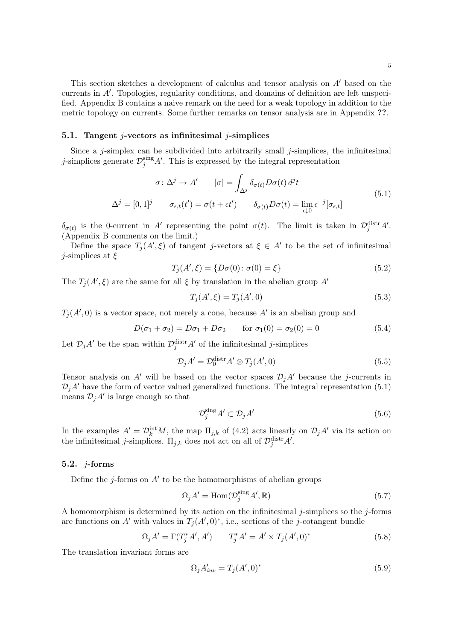This section sketches a development of calculus and tensor analysis on  $A'$  based on the currents in  $A'$ . Topologies, regularity conditions, and domains of definition are left unspecified. Appendix [B](#page-13-0) contains a naive remark on the need for a weak topology in addition to the metric topology on currents. Some further remarks on tensor analysis are in Appendix ??.

#### 5.1. Tangent  $j$ -vectors as infinitesimal  $j$ -simplices

Since a  $j$ -simplex can be subdivided into arbitrarily small  $j$ -simplices, the infinitesimal j-simplices generate  $\mathcal{D}_j^{\text{sing}} A'$ . This is expressed by the integral representation

<span id="page-4-0"></span>
$$
\sigma \colon \Delta^j \to A' \qquad [\sigma] = \int_{\Delta^j} \delta_{\sigma(t)} D\sigma(t) d^j t
$$
  

$$
\Delta^j = [0, 1]^j \qquad \sigma_{\epsilon, t}(t') = \sigma(t + \epsilon t') \qquad \delta_{\sigma(t)} D\sigma(t) = \lim_{\epsilon \downarrow 0} \epsilon^{-j} [\sigma_{\epsilon, t}]
$$
 (5.1)

 $\delta_{\sigma(t)}$  is the 0-current in A' representing the point  $\sigma(t)$ . The limit is taken in  $\mathcal{D}_j^{\text{distr}}A'$ . (Appendix [B](#page-13-0) comments on the limit.)

Define the space  $T_j(A',\xi)$  of tangent j-vectors at  $\xi \in A'$  to be the set of infinitesimal *j*-simplices at  $\xi$ 

$$
T_j(A',\xi) = \{D\sigma(0) \colon \sigma(0) = \xi\}
$$
\n(5.2)

The  $T_j(A',\xi)$  are the same for all  $\xi$  by translation in the abelian group  $A'$ 

$$
T_j(A',\xi) = T_j(A',0)
$$
\n(5.3)

 $T_j(A',0)$  is a vector space, not merely a cone, because A' is an abelian group and

$$
D(\sigma_1 + \sigma_2) = D\sigma_1 + D\sigma_2 \qquad \text{for } \sigma_1(0) = \sigma_2(0) = 0 \tag{5.4}
$$

Let  $\mathcal{D}_j A'$  be the span within  $\mathcal{D}_j^{\text{distr}} A'$  of the infinitesimal j-simplices

<span id="page-4-1"></span>
$$
\mathcal{D}_j A' = \mathcal{D}_0^{\text{distr}} A' \otimes T_j(A', 0) \tag{5.5}
$$

Tensor analysis on A' will be based on the vector spaces  $\mathcal{D}_iA'$  because the j-currents in  $\mathcal{D}_iA'$  have the form of vector valued generalized functions. The integral representation [\(5.1\)](#page-4-0) means  $\mathcal{D}_j A'$  is large enough so that

$$
\mathcal{D}_j^{\text{sing}} A' \subset \mathcal{D}_j A' \tag{5.6}
$$

In the examples  $A' = \mathcal{D}_k^{\text{int}} M$ , the map  $\Pi_{j,k}$  of [\(4.2\)](#page-3-3) acts linearly on  $\mathcal{D}_j A'$  via its action on the infinitesimal *j*-simplices.  $\Pi_{j,k}$  does not act on all of  $\mathcal{D}_j^{\text{distr}}A'$ .

## 5.2.  $j$ -forms

Define the j-forms on  $A'$  to be the homomorphisms of abelian groups

<span id="page-4-2"></span>
$$
\Omega_j A' = \text{Hom}(\mathcal{D}_j^{\text{sing}} A', \mathbb{R})
$$
\n(5.7)

A homomorphism is determined by its action on the infinitesimal j-simplices so the j-forms are functions on A' with values in  $T_j(A', 0)^*$ , i.e., sections of the j-cotangent bundle

$$
\Omega_j A' = \Gamma(T_j^* A', A') \qquad T_j^* A' = A' \times T_j (A', 0)^* \tag{5.8}
$$

The translation invariant forms are

$$
\Omega_j A'_{inv} = T_j(A', 0)^* \tag{5.9}
$$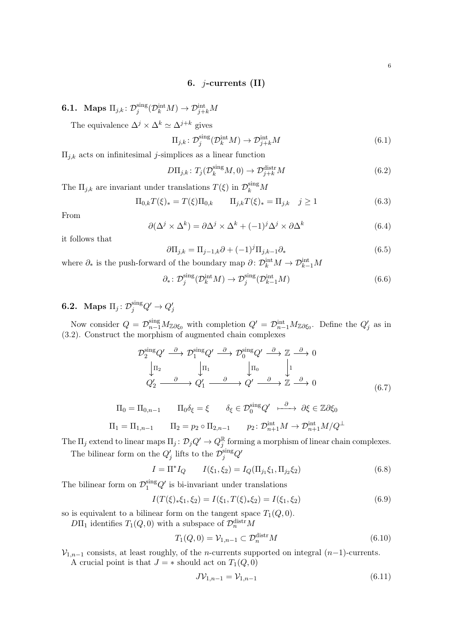### 6. *j*-currents  $(II)$

<span id="page-5-0"></span>**6.1.** Maps  $\Pi_{j,k}$ :  $\mathcal{D}_j^{\text{sing}}$  $j^{\text{sing}}({\mathcal D}_k^{\text{int}} M) \to {\mathcal D}_{j+k}^{\text{int}} M$ 

The equivalence  $\Delta^j \times \Delta^k \simeq \Delta^{j+k}$  gives

$$
\Pi_{j,k} \colon \mathcal{D}_j^{\text{sing}}(\mathcal{D}_k^{\text{int}} M) \to \mathcal{D}_{j+k}^{\text{int}} M \tag{6.1}
$$

 $\Pi_{i,k}$  acts on infinitesimal *j*-simplices as a linear function

$$
D\Pi_{j,k} \colon T_j(\mathcal{D}_k^{\text{sing}}M,0) \to \mathcal{D}_{j+k}^{\text{distr}}M \tag{6.2}
$$

The  $\Pi_{j,k}$  are invariant under translations  $T(\xi)$  in  $\mathcal{D}_k^{\text{sing}}M$ 

$$
\Pi_{0,k}T(\xi)_* = T(\xi)\Pi_{0,k} \qquad \Pi_{j,k}T(\xi)_* = \Pi_{j,k} \quad j \ge 1
$$
\n(6.3)

From

$$
\partial(\Delta^j \times \Delta^k) = \partial \Delta^j \times \Delta^k + (-1)^j \Delta^j \times \partial \Delta^k \tag{6.4}
$$

it follows that

$$
\partial \Pi_{j,k} = \Pi_{j-1,k} \partial + (-1)^j \Pi_{j,k-1} \partial_*
$$
\n(6.5)

where  $\partial_*$  is the push-forward of the boundary map  $\partial: \mathcal{D}_k^{\text{int}} M \to \mathcal{D}_{k-1}^{\text{int}} M$ 

$$
\partial_*\colon \mathcal{D}_j^{\text{sing}}(\mathcal{D}_k^{\text{int}}M) \to \mathcal{D}_j^{\text{sing}}(\mathcal{D}_{k-1}^{\text{int}}M) \tag{6.6}
$$

**6.2.** Maps  $\Pi_j \colon \mathcal{D}_j^{\text{sing}} Q' \to Q'_j$ 

Now consider  $Q = \mathcal{D}_{n-1}^{\text{sing}} M_{\mathbb{Z}\partial \xi_0}$  with completion  $Q' = \mathcal{D}_{n-1}^{\text{int}} M_{\mathbb{Z}\partial \xi_0}$ . Define the  $Q'_j$  as in [\(3.2\)](#page-2-4). Construct the morphism of augmented chain complexes

$$
\mathcal{D}_2^{\text{sing}} Q' \xrightarrow{\partial} \mathcal{D}_1^{\text{sing}} Q' \xrightarrow{\partial} \mathcal{D}_0^{\text{sing}} Q' \xrightarrow{\partial} \mathbb{Z} \xrightarrow{\partial} 0
$$
\n
$$
\downarrow \Pi_2 \qquad \qquad \downarrow \Pi_1 \qquad \qquad \downarrow \Pi_0 \qquad \qquad \downarrow 1
$$
\n
$$
Q'_2 \xrightarrow{\partial} Q'_1 \xrightarrow{\partial} Q' \xrightarrow{\partial} Q' \xrightarrow{\partial} \mathbb{Z} \xrightarrow{\partial} 0
$$
\n(6.7)

$$
\Pi_0 = \Pi_{0,n-1} \qquad \Pi_0 \delta_{\xi} = \xi \qquad \delta_{\xi} \in \mathcal{D}_0^{\text{sing}} Q' \qquad \stackrel{\partial}{\longrightarrow} \partial \xi \in \mathbb{Z} \partial \xi_0
$$

$$
\Pi_1 = \Pi_{1,n-1} \qquad \Pi_2 = p_2 \circ \Pi_{2,n-1} \qquad p_2 \colon \mathcal{D}_{n+1}^{\text{int}} M \to \mathcal{D}_{n+1}^{\text{int}} M/Q^\perp
$$

The  $\Pi_j$  extend to linear maps  $\Pi_j: \mathcal{D}_j Q' \to Q_j^{\mathbb{R}}$  forming a morphism of linear chain complexes. The bilinear form on the  $Q'_j$  lifts to the  $\mathcal{D}_j^{\text{sing}} Q'$ 

$$
I = \Pi^* I_Q \qquad I(\xi_1, \xi_2) = I_Q(\Pi_{j_1} \xi_1, \Pi_{j_2} \xi_2)
$$
\n(6.8)

The bilinear form on  $\mathcal{D}_1^{\text{sing}} Q'$  is bi-invariant under translations

$$
I(T(\xi)_*\xi_1,\xi_2) = I(\xi_1,T(\xi)_*\xi_2) = I(\xi_1,\xi_2)
$$
\n(6.9)

so is equivalent to a bilinear form on the tangent space  $T_1(Q, 0)$ .

 $D\Pi_1$  identifies  $T_1(Q, 0)$  with a subspace of  $\mathcal{D}_n^{\text{distr}}M$ 

$$
T_1(Q,0) = \mathcal{V}_{1,n-1} \subset \mathcal{D}_n^{\text{distr}} M \tag{6.10}
$$

 $\mathcal{V}_{1,n-1}$  consists, at least roughly, of the *n*-currents supported on integral  $(n-1)$ -currents.

A crucial point is that  $J = *$  should act on  $T_1(Q, 0)$ 

$$
J\mathcal{V}_{1,n-1} = \mathcal{V}_{1,n-1} \tag{6.11}
$$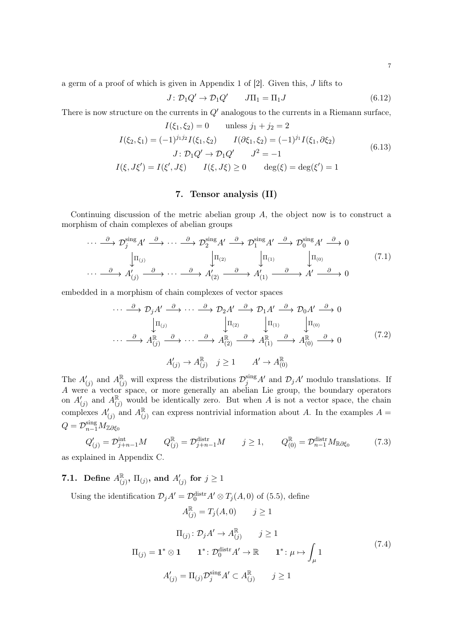a germ of a proof of which is given in Appendix 1 of [\[2\]](#page-14-1). Given this, J lifts to

$$
J \colon \mathcal{D}_1 Q' \to \mathcal{D}_1 Q' \qquad J\Pi_1 = \Pi_1 J \tag{6.12}
$$

There is now structure on the currents in  $Q'$  analogous to the currents in a Riemann surface,

<span id="page-6-4"></span>
$$
I(\xi_1, \xi_2) = 0 \quad \text{unless } j_1 + j_2 = 2
$$
  
\n
$$
I(\xi_2, \xi_1) = (-1)^{j_1 j_2} I(\xi_1, \xi_2) \qquad I(\partial \xi_1, \xi_2) = (-1)^{j_1} I(\xi_1, \partial \xi_2)
$$
  
\n
$$
J: \mathcal{D}_1 Q' \to \mathcal{D}_1 Q' \qquad J^2 = -1
$$
  
\n
$$
I(\xi, J\xi') = I(\xi', J\xi) \qquad I(\xi, J\xi) \ge 0 \qquad \deg(\xi) = \deg(\xi') = 1
$$
\n(6.13)

## 7. Tensor analysis (II)

<span id="page-6-0"></span>Continuing discussion of the metric abelian group A, the object now is to construct a morphism of chain complexes of abelian groups

<span id="page-6-2"></span>
$$
\cdots \xrightarrow{\partial} \mathcal{D}_{j}^{\text{sing}} A' \xrightarrow{\partial} \cdots \xrightarrow{\partial} \mathcal{D}_{2}^{\text{sing}} A' \xrightarrow{\partial} \mathcal{D}_{1}^{\text{sing}} A' \xrightarrow{\partial} \mathcal{D}_{0}^{\text{sing}} A' \xrightarrow{\partial} 0
$$
\n
$$
\downarrow \Pi_{(j)} \qquad \qquad \downarrow \Pi_{(2)} \qquad \qquad \downarrow \Pi_{(1)} \qquad \qquad \downarrow \Pi_{(0)} \qquad (7.1)
$$
\n
$$
\cdots \xrightarrow{\partial} A'_{(j)} \xrightarrow{\partial} \cdots \xrightarrow{\partial} A'_{(2)} \xrightarrow{\partial} A'_{(1)} \xrightarrow{\partial} A' \xrightarrow{\partial} A' \xrightarrow{\partial} 0
$$

embedded in a morphism of chain complexes of vector spaces

<span id="page-6-3"></span>
$$
\cdots \xrightarrow{\partial} \mathcal{D}_{j} A' \xrightarrow{\partial} \cdots \xrightarrow{\partial} \mathcal{D}_{2} A' \xrightarrow{\partial} \mathcal{D}_{1} A' \xrightarrow{\partial} \mathcal{D}_{0} A' \xrightarrow{\partial} 0
$$
  
\n
$$
\downarrow \Pi_{(j)} \qquad \qquad \downarrow \Pi_{(2)} \qquad \qquad \downarrow \Pi_{(1)} \qquad \qquad \downarrow \Pi_{(0)}
$$
  
\n
$$
\cdots \xrightarrow{\partial} A_{(j)}^{\mathbb{R}} \xrightarrow{\partial} \cdots \xrightarrow{\partial} A_{(2)}^{\mathbb{R}} \xrightarrow{\partial} A_{(1)}^{\mathbb{R}} \xrightarrow{\partial} A_{(0)}^{\mathbb{R}} \xrightarrow{\partial} A
$$
  
\n
$$
A'_{(j)} \rightarrow A_{(j)}^{\mathbb{R}} \qquad j \geq 1 \qquad A' \rightarrow A_{(0)}^{\mathbb{R}}
$$
  
\n
$$
(7.2)
$$

The  $A'_{(j)}$  and  $A_{(j)}^{\mathbb{R}}$  will express the distributions  $\mathcal{D}_j^{\text{sing}}A'$  and  $\mathcal{D}_jA'$  modulo translations. If A were a vector space, or more generally an abelian Lie group, the boundary operators on  $A'_{(j)}$  and  $A_{(j)}^{\mathbb{R}}$  would be identically zero. But when A is not a vector space, the chain complexes  $A'_{(j)}$  and  $A_{(j)}^{\mathbb{R}}$  can express nontrivial information about A. In the examples  $A =$  $Q = \mathcal{D}_{n-1}^{\text{sing}} M_{\mathbb{Z} \partial \xi_0}$ 

 $A_{(j)}^{\mathbb{R}} = T_j(A, 0)$   $j \ge 1$ 

$$
Q'_{(j)} = \mathcal{D}_{j+n-1}^{\text{int}} M \qquad Q_{(j)}^{\mathbb{R}} = \mathcal{D}_{j+n-1}^{\text{distr}} M \qquad j \ge 1, \qquad Q_{(0)}^{\mathbb{R}} = \mathcal{D}_{n-1}^{\text{distr}} M_{\mathbb{R}\partial\xi_0}
$$
(7.3)

as explained in Appendix [C.](#page-13-1)

**7.1.** Define  $A_{(j)}^{\mathbb{R}}$ ,  $\Pi_{(j)}$ , and  $A'_{(j)}$  for  $j \ge 1$ 

Using the identification  $\mathcal{D}_j A' = \mathcal{D}_0^{\text{distr}} A' \otimes T_j(A,0)$  of [\(5.5\)](#page-4-1), define

<span id="page-6-1"></span>
$$
\Pi_{(j)}: \mathcal{D}_j A' \to A_{(j)}^{\mathbb{R}} \qquad j \ge 1
$$
  
\n
$$
\Pi_{(j)} = \mathbf{1}^* \otimes \mathbf{1} \qquad \mathbf{1}^* : \mathcal{D}_0^{\text{distr}} A' \to \mathbb{R} \qquad \mathbf{1}^* : \mu \mapsto \int_{\mu} 1
$$
  
\n
$$
A'_{(j)} = \Pi_{(j)} \mathcal{D}_j^{\text{sing}} A' \subset A_{(j)}^{\mathbb{R}} \qquad j \ge 1
$$
\n(7.4)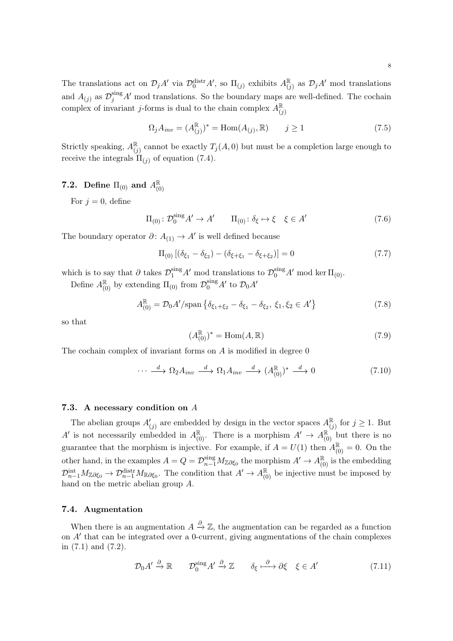The translations act on  $\mathcal{D}_jA'$  via  $\mathcal{D}_0^{\text{distr}}A'$ , so  $\Pi_{(j)}$  exhibits  $A_{(j)}^{\mathbb{R}}$  as  $\mathcal{D}_jA'$  mod translations and  $A_{(j)}$  as  $\mathcal{D}_j^{\text{sing}} A'$  mod translations. So the boundary maps are well-defined. The cochain complex of invariant j-forms is dual to the chain complex  $A_{(j)}^{\mathbb{R}}$ 

$$
\Omega_j A_{inv} = (A_{(j)}^{\mathbb{R}})^* = \text{Hom}(A_{(j)}, \mathbb{R}) \qquad j \ge 1
$$
\n(7.5)

Strictly speaking,  $A_{(j)}^{\mathbb{R}}$  cannot be exactly  $T_j(A,0)$  but must be a completion large enough to receive the integrals  $\Pi_{(i)}$  of equation [\(7.4\)](#page-6-1).

# **7.2.** Define  $\Pi_{(0)}$  and  $A_{(0)}^{\mathbb{R}}$

For  $j = 0$ , define

$$
\Pi_{(0)}: \mathcal{D}_0^{\text{sing}} A' \to A' \qquad \Pi_{(0)}: \delta_{\xi} \mapsto \xi \quad \xi \in A' \tag{7.6}
$$

The boundary operator  $\partial: A_{(1)} \to A'$  is well defined because

$$
\Pi_{(0)}[(\delta_{\xi_1} - \delta_{\xi_2}) - (\delta_{\xi + \xi_1} - \delta_{\xi + \xi_2})] = 0 \tag{7.7}
$$

which is to say that  $\partial$  takes  $\mathcal{D}_1^{\text{sing}} A'$  mod translations to  $\mathcal{D}_0^{\text{sing}} A'$  mod ker  $\Pi_{(0)}$ .

Define  $A_{(0)}^{\mathbb{R}}$  by extending  $\Pi_{(0)}$  from  $\mathcal{D}_0^{\text{sing}}A'$  to  $\mathcal{D}_0A'$ 

$$
A_{(0)}^{\mathbb{R}} = \mathcal{D}_0 A'/\text{span}\left\{\delta_{\xi_1 + \xi_2} - \delta_{\xi_1} - \delta_{\xi_2}, \xi_1, \xi_2 \in A'\right\} \tag{7.8}
$$

so that

$$
(A_{(0)}^{\mathbb{R}})^* = \text{Hom}(A, \mathbb{R})
$$
\n
$$
(7.9)
$$

The cochain complex of invariant forms on  $A$  is modified in degree  $0$ 

$$
\cdots \xrightarrow{d} \Omega_2 A_{inv} \xrightarrow{d} \Omega_1 A_{inv} \xrightarrow{d} (A_{(0)}^{\mathbb{R}})^* \xrightarrow{d} 0 \tag{7.10}
$$

#### 7.3. A necessary condition on A

The abelian groups  $A'_{(j)}$  are embedded by design in the vector spaces  $A_{(j)}^{\mathbb{R}}$  for  $j \geq 1$ . But A' is not necessarily embedded in  $A_{(0)}^{\mathbb{R}}$ . There is a morphism  $A' \to A_{(0)}^{\mathbb{R}}$  but there is no guarantee that the morphism is injective. For example, if  $A = U(1)$  then  $A_{(0)}^{\mathbb{R}} = 0$ . On the other hand, in the examples  $A = Q = \mathcal{D}_{n-1}^{\text{sing}} M_{\mathbb{Z}\partial \xi_0}$  the morphism  $A' \to A_{(0)}^{\mathbb{R}}$  is the embedding  $\mathcal{D}_{n-1}^{\text{int}} M_{\mathbb{Z}\partial \xi_0} \to \mathcal{D}_{n-1}^{\text{distr}} M_{\mathbb{R}\partial \xi_0}$ . The condition that  $A' \to A_{(0)}^{\mathbb{R}}$  be injective must be imposed by hand on the metric abelian group A.

#### 7.4. Augmentation

When there is an augmentation  $A \stackrel{\partial}{\rightarrow} \mathbb{Z}$ , the augmentation can be regarded as a function on  $A'$  that can be integrated over a 0-current, giving augmentations of the chain complexes in [\(7.1\)](#page-6-2) and [\(7.2\)](#page-6-3).

$$
\mathcal{D}_0 A' \xrightarrow{\partial} \mathbb{R} \qquad \mathcal{D}_0^{\text{sing}} A' \xrightarrow{\partial} \mathbb{Z} \qquad \delta_{\xi} \xrightarrow{\partial} \partial \xi \quad \xi \in A' \tag{7.11}
$$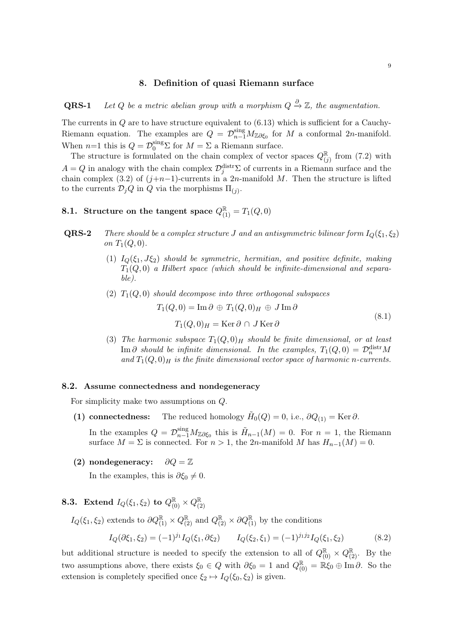#### 8. Definition of quasi Riemann surface

<span id="page-8-0"></span>**QRS-1** Let Q be a metric abelian group with a morphism  $Q \stackrel{\partial}{\to} \mathbb{Z}$ , the augmentation.

The currents in  $Q$  are to have structure equivalent to  $(6.13)$  which is sufficient for a Cauchy-Riemann equation. The examples are  $Q = \mathcal{D}_{n-1}^{\text{sing}} M_{\mathbb{Z}\partial \xi_0}$  for M a conformal 2n-manifold. When  $n=1$  this is  $Q = \mathcal{D}_0^{\text{sing}} \Sigma$  for  $M = \Sigma$  a Riemann surface.

The structure is formulated on the chain complex of vector spaces  $Q_{(j)}^{\mathbb{R}}$  from [\(7.2\)](#page-6-3) with  $A = Q$  in analogy with the chain complex  $\mathcal{D}_j^{\text{distr}}\Sigma$  of currents in a Riemann surface and the chain complex [\(3.2\)](#page-2-4) of  $(j+n-1)$ -currents in a 2n-manifold M. Then the structure is lifted to the currents  $\mathcal{D}_j Q$  in Q via the morphisms  $\Pi_{(j)}$ .

# 8.1. Structure on the tangent space  $Q_{(1)}^{\mathbb{R}} = T_1(Q, 0)$

- **QRS-2** There should be a complex structure J and an antisymmetric bilinear form  $I_Q(\xi_1, \xi_2)$ on  $T_1(Q, 0)$ .
	- (1)  $I_Q(\xi_1, J\xi_2)$  should be symmetric, hermitian, and positive definite, making  $T_1(Q, 0)$  a Hilbert space (which should be infinite-dimensional and separable).
	- (2)  $T_1(Q, 0)$  should decompose into three orthogonal subspaces  $T_1(Q, 0) = \text{Im}\,\partial \oplus T_1(Q, 0)_H \oplus J \text{Im}\,\partial$ (8.1)

$$
T_1(Q,0)_H = \text{Ker}\,\partial \cap J\,\text{Ker}\,\partial
$$

(3) The harmonic subspace  $T_1(Q, 0)_H$  should be finite dimensional, or at least Im  $\partial$  should be infinite dimensional. In the examples,  $T_1(Q, 0) = \mathcal{D}_n^{\text{distr}} M$ and  $T_1(Q, 0)_H$  is the finite dimensional vector space of harmonic n-currents.

#### <span id="page-8-1"></span>8.2. Assume connectedness and nondegeneracy

For simplicity make two assumptions on Q.

(1) connectedness: The reduced homology  $H_0(Q) = 0$ , i.e.,  $\partial Q_{(1)} = \text{Ker }\partial$ .

In the examples  $Q = \mathcal{D}_{n-1}^{\text{sing}} M_{\mathbb{Z}\partial \xi_0}$  this is  $\tilde{H}_{n-1}(M) = 0$ . For  $n = 1$ , the Riemann surface  $M = \Sigma$  is connected. For  $n > 1$ , the 2n-manifold M has  $H_{n-1}(M) = 0$ .

(2) nondegeneracy:  $\partial Q = \mathbb{Z}$ 

In the examples, this is  $\partial \xi_0 \neq 0$ .

# **8.3.** Extend  $I_Q(\xi_1, \xi_2)$  to  $Q_{(0)}^{\mathbb{R}} \times Q_{(2)}^{\mathbb{R}}$

 $I_Q(\xi_1, \xi_2)$  extends to  $\partial Q_{(1)}^{\mathbb{R}} \times Q_{(2)}^{\mathbb{R}}$  and  $Q_{(2)}^{\mathbb{R}} \times \partial Q_{(1)}^{\mathbb{R}}$  by the conditions

$$
I_Q(\partial \xi_1, \xi_2) = (-1)^{j_1} I_Q(\xi_1, \partial \xi_2) \qquad I_Q(\xi_2, \xi_1) = (-1)^{j_1 j_2} I_Q(\xi_1, \xi_2) \tag{8.2}
$$

but additional structure is needed to specify the extension to all of  $Q_{(0)}^{\mathbb{R}} \times Q_{(2)}^{\mathbb{R}}$ . By the two assumptions above, there exists  $\xi_0 \in Q$  with  $\partial \xi_0 = 1$  and  $Q_{(0)}^{\mathbb{R}} = \mathbb{R} \xi_0 \oplus \text{Im } \partial$ . So the extension is completely specified once  $\xi_2 \mapsto I_Q(\xi_0, \xi_2)$  is given.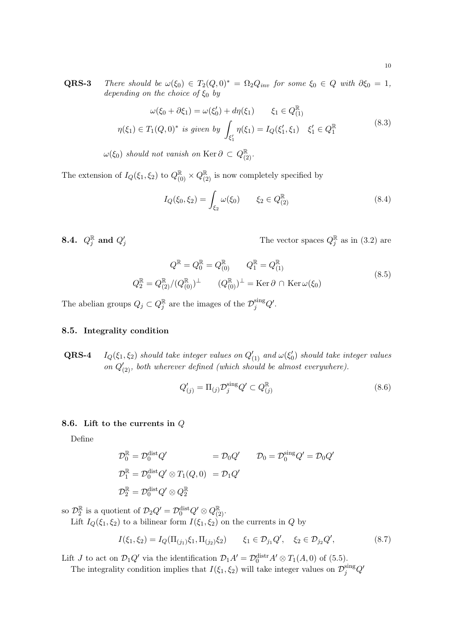**QRS-3** There should be  $\omega(\xi_0) \in T_2(Q, 0)^* = \Omega_2 Q_{inv}$  for some  $\xi_0 \in Q$  with  $\partial \xi_0 = 1$ , depending on the choice of  $\xi_0$  by

$$
\omega(\xi_0 + \partial \xi_1) = \omega(\xi'_0) + d\eta(\xi_1) \qquad \xi_1 \in Q_{(1)}^{\mathbb{R}}
$$
  

$$
\eta(\xi_1) \in T_1(Q, 0)^* \text{ is given by } \int_{\xi'_1} \eta(\xi_1) = I_Q(\xi'_1, \xi_1) \quad \xi'_1 \in Q_1^{\mathbb{R}}
$$
 (8.3)

 $\omega(\xi_0)$  should not vanish on Ker  $\partial \subset Q_{(2)}^{\mathbb{R}}$ .

The extension of  $I_Q(\xi_1, \xi_2)$  to  $Q_{(0)}^{\mathbb{R}} \times Q_{(2)}^{\mathbb{R}}$  is now completely specified by

$$
I_Q(\xi_0, \xi_2) = \int_{\xi_2} \omega(\xi_0) \qquad \xi_2 \in Q_{(2)}^{\mathbb{R}} \tag{8.4}
$$

 $8.4.~\ Q^\R_j~{\rm and}~ Q'_j$ 

 $\sum_{j}$  The vector spaces  $Q_j^{\mathbb{R}}$  as in [\(3.2\)](#page-2-4) are

$$
Q^{\mathbb{R}} = Q_0^{\mathbb{R}} = Q_{(0)}^{\mathbb{R}} \qquad Q_1^{\mathbb{R}} = Q_{(1)}^{\mathbb{R}}
$$
  
\n
$$
Q_2^{\mathbb{R}} = Q_{(2)}^{\mathbb{R}} / (Q_{(0)}^{\mathbb{R}})^{\perp} \qquad (Q_{(0)}^{\mathbb{R}})^{\perp} = \text{Ker}\,\partial \cap \text{Ker}\,\omega(\xi_0)
$$
\n(8.5)

The abelian groups  $Q_j \subset Q_j^{\mathbb{R}}$  are the images of the  $\mathcal{D}_j^{\text{sing}} Q'$ .

#### 8.5. Integrality condition

**QRS-4**  $I_Q(\xi_1, \xi_2)$  should take integer values on  $Q'_{(1)}$  and  $\omega(\xi'_0)$  should take integer values on  $Q'_{(2)}$ , both wherever defined (which should be almost everywhere).

$$
Q'_{(j)} = \Pi_{(j)} \mathcal{D}_j^{\text{sing}} Q' \subset Q_{(j)}^{\mathbb{R}} \tag{8.6}
$$

### 8.6. Lift to the currents in Q

Define

$$
\mathcal{D}_0^{\mathbb{R}} = \mathcal{D}_0^{\text{dist}} Q' \qquad \qquad = \mathcal{D}_0 Q' \qquad \mathcal{D}_0 = \mathcal{D}_0^{\text{sing}} Q' = \mathcal{D}_0 Q'
$$
\n
$$
\mathcal{D}_1^{\mathbb{R}} = \mathcal{D}_0^{\text{dist}} Q' \otimes T_1(Q, 0) \qquad \qquad = \mathcal{D}_1 Q'
$$
\n
$$
\mathcal{D}_2^{\mathbb{R}} = \mathcal{D}_0^{\text{dist}} Q' \otimes Q_2^{\mathbb{R}}
$$

so  $\mathcal{D}_2^{\mathbb{R}}$  is a quotient of  $\mathcal{D}_2 Q' = \mathcal{D}_0^{\text{dist}} Q' \otimes Q_{(2)}^{\mathbb{R}}$ .

Lift  $I_Q(\xi_1, \xi_2)$  to a bilinear form  $I(\xi_1, \xi_2)$  on the currents in Q by

$$
I(\xi_1, \xi_2) = I_Q(\Pi_{(j_1)}\xi_1, \Pi_{(j_2)}\xi_2) \qquad \xi_1 \in \mathcal{D}_{j_1}Q', \quad \xi_2 \in \mathcal{D}_{j_2}Q', \tag{8.7}
$$

Lift *J* to act on  $\mathcal{D}_1 Q'$  via the identification  $\mathcal{D}_1 A' = \mathcal{D}_0^{\text{distr}} A' \otimes T_1(A, 0)$  of [\(5.5\)](#page-4-1).

The integrality condition implies that  $I(\xi_1, \xi_2)$  will take integer values on  $\mathcal{D}_j^{\text{sing}} Q'$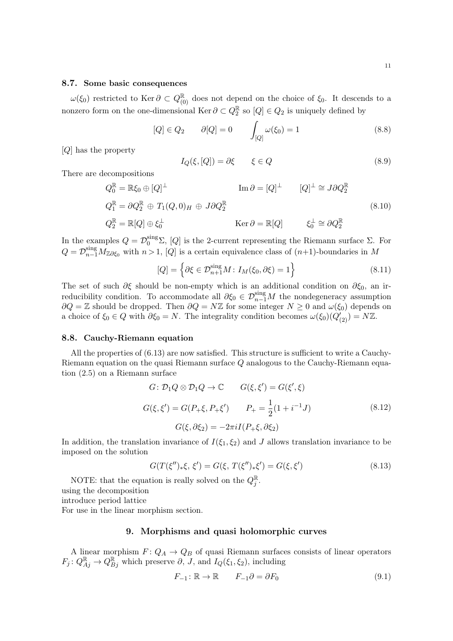#### 8.7. Some basic consequences

 $\omega(\xi_0)$  restricted to Ker  $\partial \subset Q_{(0)}^{\mathbb{R}}$  does not depend on the choice of  $\xi_0$ . It descends to a nonzero form on the one-dimensional Ker  $\partial \subset Q_2^{\mathbb{R}}$  so  $[Q] \in Q_2$  is uniquely defined by

$$
[Q] \in Q_2 \qquad \partial [Q] = 0 \qquad \int_{[Q]} \omega(\xi_0) = 1 \tag{8.8}
$$

[Q] has the property

$$
I_Q(\xi, [Q]) = \partial \xi \qquad \xi \in Q \tag{8.9}
$$

There are decompositions

<span id="page-10-1"></span>
$$
Q_0^{\mathbb{R}} = \mathbb{R}\xi_0 \oplus [Q]^{\perp} \qquad \text{Im } \partial = [Q]^{\perp} \qquad [Q]^{\perp} \cong J \partial Q_2^{\mathbb{R}}
$$
  
\n
$$
Q_1^{\mathbb{R}} = \partial Q_2^{\mathbb{R}} \oplus T_1(Q, 0)_H \oplus J \partial Q_2^{\mathbb{R}}
$$
  
\n
$$
Q_2^{\mathbb{R}} = \mathbb{R}[Q] \oplus \xi_0^{\perp} \qquad \text{Ker } \partial = \mathbb{R}[Q] \qquad \xi_0^{\perp} \cong \partial Q_2^{\mathbb{R}}
$$
  
\n(8.10)

In the examples  $Q = \mathcal{D}_0^{\text{sing}}\Sigma$ , [Q] is the 2-current representing the Riemann surface  $\Sigma$ . For  $Q = \mathcal{D}_{n-1}^{\text{sing}} M_{\mathbb{Z}\partial \xi_0}$  with  $n > 1$ , [Q] is a certain equivalence class of  $(n+1)$ -boundaries in M

$$
[Q] = \left\{ \partial \xi \in \mathcal{D}_{n+1}^{\text{sing}} M : I_M(\xi_0, \partial \xi) = 1 \right\}
$$
 (8.11)

The set of such  $\partial \xi$  should be non-empty which is an additional condition on  $\partial \xi_0$ , an irreducibility condition. To accommodate all  $\partial \xi_0 \in \mathcal{D}_{n-1}^{\text{sing}}M$  the nondegeneracy assumption  $∂Q = \mathbb{Z}$  should be dropped. Then  $∂Q = N\mathbb{Z}$  for some integer  $N \geq 0$  and  $ω(ξ<sub>0</sub>)$  depends on a choice of  $\xi_0 \in Q$  with  $\partial \xi_0 = N$ . The integrality condition becomes  $\omega(\xi_0)(Q_{(2)}') = N\mathbb{Z}$ .

#### 8.8. Cauchy-Riemann equation

All the properties of [\(6.13\)](#page-6-4) are now satisfied. This structure is sufficient to write a Cauchy-Riemann equation on the quasi Riemann surface Q analogous to the Cauchy-Riemann equation [\(2.5\)](#page-2-5) on a Riemann surface

$$
G: \mathcal{D}_1 Q \otimes \mathcal{D}_1 Q \to \mathbb{C} \qquad G(\xi, \xi') = G(\xi', \xi)
$$
  

$$
G(\xi, \xi') = G(P_{+}\xi, P_{+}\xi') \qquad P_{+} = \frac{1}{2}(1 + i^{-1}J) \qquad (8.12)
$$
  

$$
G(\xi, \partial \xi_2) = -2\pi i I(P_{+}\xi, \partial \xi_2)
$$

In addition, the translation invariance of  $I(\xi_1, \xi_2)$  and J allows translation invariance to be imposed on the solution

$$
G(T(\xi'')_*\xi, \xi') = G(\xi, T(\xi'')_*\xi') = G(\xi, \xi')
$$
\n(8.13)

NOTE: that the equation is really solved on the  $Q_j^{\mathbb{R}}$ .

using the decomposition

introduce period lattice

<span id="page-10-0"></span>For use in the linear morphism section.

#### 9. Morphisms and quasi holomorphic curves

A linear morphism  $F: Q_A \to Q_B$  of quasi Riemann surfaces consists of linear operators  $F_j: Q_{Aj}^{\mathbb{R}} \to Q_{Bj}^{\mathbb{R}}$  which preserve  $\partial, J$ , and  $I_Q(\xi_1, \xi_2)$ , including

$$
F_{-1}: \mathbb{R} \to \mathbb{R} \qquad F_{-1}\partial = \partial F_0 \tag{9.1}
$$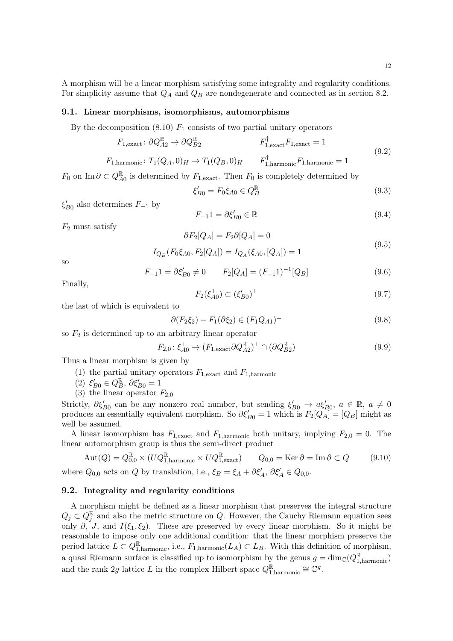A morphism will be a linear morphism satisfying some integrality and regularity conditions. For simplicity assume that  $Q_A$  and  $Q_B$  are nondegenerate and connected as in section [8.2.](#page-8-1)

#### 9.1. Linear morphisms, isomorphisms, automorphisms

By the decomposition  $(8.10)$   $F_1$  consists of two partial unitary operators

$$
F_{1,\text{exact}}: \partial Q_{A2}^{\mathbb{R}} \to \partial Q_{B2}^{\mathbb{R}}
$$
\n
$$
F_{1,\text{exact}}^{\dagger} F_{1,\text{exact}} = 1
$$
\n(9.2)

$$
F_{1,\text{harmonic}} \colon T_1(Q_A, 0)_H \to T_1(Q_B, 0)_H \qquad F_{1,\text{harmonic}}^{\dagger} F_{1,\text{harmonic}} = 1
$$

 $F_0$  on Im  $\partial \subset Q_{A0}^{\mathbb{R}}$  is determined by  $F_{1, \text{exact}}$ . Then  $F_0$  is completely determined by

$$
\xi'_{B0} = F_0 \xi_{A0} \in Q_B^{\mathbb{R}} \tag{9.3}
$$

 $\xi'_{B0}$  also determines  $F_{-1}$  by

$$
F_{-1}1 = \partial \xi'_{B0} \in \mathbb{R} \tag{9.4}
$$

 $F_2$  must satisfy

$$
\partial F_2[Q_A]=F_2\partial [Q_A]=0
$$

$$
I_{Q_B}(F_0\xi_{A0}, F_2[Q_A]) = I_{Q_A}(\xi_{A0}, [Q_A]) = 1
$$
\n(9.5)

so

$$
F_{-1}1 = \partial \xi'_{B0} \neq 0 \qquad F_2[Q_A] = (F_{-1}1)^{-1}[Q_B]
$$
\n(9.6)

Finally,

$$
F_2(\xi_{A0}^{\perp}) \subset (\xi_{B0}')^{\perp} \tag{9.7}
$$

the last of which is equivalent to

$$
\partial (F_2 \xi_2) - F_1(\partial \xi_2) \in (F_1 Q_{A1})^{\perp}
$$
\n(9.8)

so  $F_2$  is determined up to an arbitrary linear operator

$$
F_{2,0}: \xi_{A0}^{\perp} \to (F_{1,\text{exact}} \partial Q_{A2}^{\mathbb{R}})^{\perp} \cap (\partial Q_{B2}^{\mathbb{R}})
$$
\n
$$
(9.9)
$$

Thus a linear morphism is given by

- (1) the partial unitary operators  $F_{1,exact}$  and  $F_{1,harmonic}$
- (2)  $\xi'_{B0} \in Q_B^{\mathbb{R}}, \ \partial \xi'_{B0} = 1$
- (3) the linear operator  $F_{2,0}$

Strictly,  $\partial \xi'_{B0}$  can be any nonzero real number, but sending  $\xi'_{B0} \to a \xi'_{B0}$ ,  $a \in \mathbb{R}$ ,  $a \neq 0$ produces an essentially equivalent morphism. So  $\partial \xi'_{B0} = 1$  which is  $F_2[Q_A] = [Q_B]$  might as well be assumed.

A linear isomorphism has  $F_{1,exact}$  and  $F_{1,harmonic}$  both unitary, implying  $F_{2,0} = 0$ . The linear automorphism group is thus the semi-direct product

$$
Aut(Q) = Q_{0,0}^{\mathbb{R}} \rtimes (UQ_{1,\text{harmonic}}^{\mathbb{R}} \times UQ_{1,\text{exact}}^{\mathbb{R}}) \qquad Q_{0,0} = \text{Ker}\,\partial = \text{Im}\,\partial \subset Q \tag{9.10}
$$

where  $Q_{0,0}$  acts on  $Q$  by translation, i.e.,  $\xi_B = \xi_A + \partial \xi'_A$ ,  $\partial \xi'_A \in Q_{0,0}$ .

## 9.2. Integrality and regularity conditions

A morphism might be defined as a linear morphism that preserves the integral structure  $Q_j \subset Q_j^{\mathbb{R}}$  and also the metric structure on Q. However, the Cauchy Riemann equation sees only  $\partial$ , J, and  $I(\xi_1, \xi_2)$ . These are preserved by every linear morphism. So it might be reasonable to impose only one additional condition: that the linear morphism preserve the period lattice  $L \subset Q^{\mathbb{R}}_{1,\text{harmonic}}$ , i.e.,  $F_{1,\text{harmonic}}(L_A) \subset L_B$ . With this definition of morphism, a quasi Riemann surface is classified up to isomorphism by the genus  $g = \dim_{\mathbb{C}}(Q_{1,\text{harmonic}}^{\mathbb{R}})$ and the rank 2g lattice L in the complex Hilbert space  $Q_{1,\text{harmonic}}^{\mathbb{R}} \cong \mathbb{C}^g$ .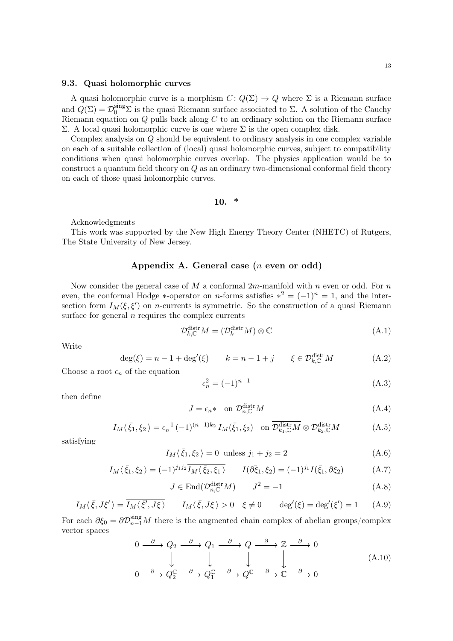## 9.3. Quasi holomorphic curves

A quasi holomorphic curve is a morphism  $C: Q(\Sigma) \to Q$  where  $\Sigma$  is a Riemann surface and  $Q(\Sigma) = \mathcal{D}_0^{\text{sing}}\Sigma$  is the quasi Riemann surface associated to  $\Sigma$ . A solution of the Cauchy Riemann equation on  $Q$  pulls back along  $C$  to an ordinary solution on the Riemann surface Σ. A local quasi holomorphic curve is one where Σ is the open complex disk.

Complex analysis on Q should be equivalent to ordinary analysis in one complex variable on each of a suitable collection of (local) quasi holomorphic curves, subject to compatibility conditions when quasi holomorphic curves overlap. The physics application would be to construct a quantum field theory on Q as an ordinary two-dimensional conformal field theory on each of those quasi holomorphic curves.

10. \*

Acknowledgments

This work was supported by the New High Energy Theory Center (NHETC) of Rutgers, The State University of New Jersey.

## Appendix A. General case (n even or odd)

<span id="page-12-0"></span>Now consider the general case of M a conformal  $2m$ -manifold with n even or odd. For n even, the conformal Hodge \*-operator on *n*-forms satisfies  $*^2 = (-1)^n = 1$ , and the intersection form  $I_M(\xi, \xi')$  on *n*-currents is symmetric. So the construction of a quasi Riemann surface for general  $n$  requires the complex currents

$$
\mathcal{D}_{k,\mathbb{C}}^{\text{distr}}M = (\mathcal{D}_k^{\text{distr}}M) \otimes \mathbb{C}
$$
\n(A.1)

Write

$$
\deg(\xi) = n - 1 + \deg'(\xi) \qquad k = n - 1 + j \qquad \xi \in \mathcal{D}_{k,\mathbb{C}}^{\text{distr}} M \tag{A.2}
$$

Choose a root  $\epsilon_n$  of the equation

$$
\epsilon_n^2 = (-1)^{n-1} \tag{A.3}
$$

then define

$$
J = \epsilon_n * \quad \text{on } \mathcal{D}_{n,\mathbb{C}}^{\text{distr}} M \tag{A.4}
$$

$$
I_M(\bar{\xi}_1, \xi_2) = \epsilon_n^{-1} \, (-1)^{(n-1)k_2} \, I_M(\bar{\xi}_1, \xi_2) \quad \text{on } \overline{\mathcal{D}_{k_1, \mathbb{C}}^{\text{distr}} M} \otimes \mathcal{D}_{k_2, \mathbb{C}}^{\text{distr}} M \tag{A.5}
$$

satisfying

$$
I_M \langle \bar{\xi}_1, \xi_2 \rangle = 0 \text{ unless } j_1 + j_2 = 2 \tag{A.6}
$$

$$
I_M(\bar{\xi}_1, \xi_2) = (-1)^{j_1 j_2} \overline{I_M(\bar{\xi}_2, \xi_1)} \qquad I(\partial \bar{\xi}_1, \xi_2) = (-1)^{j_1} I(\bar{\xi}_1, \partial \xi_2) \tag{A.7}
$$

$$
J \in \text{End}(\mathcal{D}_{n,\mathbb{C}}^{\text{distr}} M) \qquad J^2 = -1 \tag{A.8}
$$

$$
I_M\langle \bar{\xi}, J\xi' \rangle = \overline{I_M\langle \bar{\xi}', J\xi \rangle} \qquad I_M\langle \bar{\xi}, J\xi \rangle > 0 \quad \xi \neq 0 \qquad \deg'(\xi) = \deg'(\xi') = 1 \qquad (A.9)
$$

For each  $\partial \xi_0 = \partial \mathcal{D}_{n-1}^{\text{sing}} M$  there is the augmented chain complex of abelian groups/complex vector spaces

$$
0 \xrightarrow{\partial} Q_2 \xrightarrow{\partial} Q_1 \xrightarrow{\partial} Q \xrightarrow{\partial} \mathbb{Z} \xrightarrow{\partial} 0
$$
  

$$
\downarrow \qquad \qquad \downarrow \qquad \qquad \downarrow \qquad \qquad \downarrow
$$
  

$$
0 \xrightarrow{\partial} Q_2^{\mathbb{C}} \xrightarrow{\partial} Q_1^{\mathbb{C}} \xrightarrow{\partial} Q_1^{\mathbb{C}} \xrightarrow{\partial} Q^{\mathbb{C}} \xrightarrow{\partial} \mathbb{C} \xrightarrow{\partial} 0
$$
  
(A.10)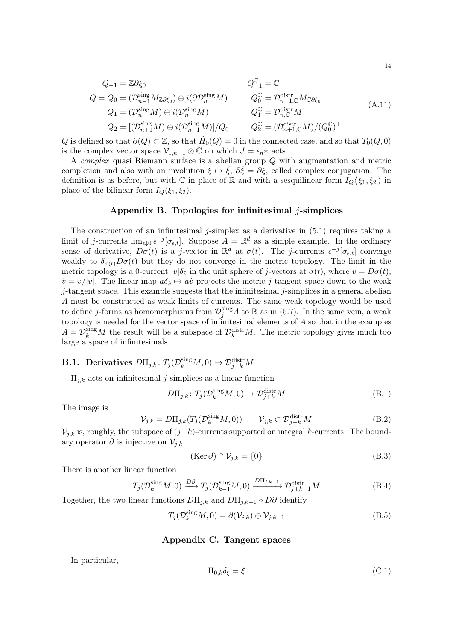$$
Q_{-1} = \mathbb{Z}\partial\xi_0
$$
  
\n
$$
Q = Q_0 = (\mathcal{D}_{n-1}^{\text{sing}}M_{\mathbb{Z}\partial\xi_0}) \oplus i(\partial \mathcal{D}_n^{\text{sing}}M)
$$
  
\n
$$
Q_1 = (\mathcal{D}_n^{\text{sing}}M) \oplus i(\mathcal{D}_n^{\text{sing}}M)
$$
  
\n
$$
Q_2 = [(\mathcal{D}_{n+1}^{\text{sing}}M) \oplus i(\mathcal{D}_n^{\text{sing}}M)]/Q_0^{\perp}
$$
  
\n
$$
Q_2^{\mathbb{C}} = \mathcal{D}_{n,\mathbb{C}}^{\text{distr}}M
$$
  
\n
$$
Q_2 = [(\mathcal{D}_{n+1}^{\text{sing}}M) \oplus i(\mathcal{D}_{n+1}^{\text{sing}}M)]/Q_0^{\perp}
$$
  
\n
$$
Q_2^{\mathbb{C}} = (\mathcal{D}_{n+1,\mathbb{C}}^{\text{distr}}M)/(Q_0^{\mathbb{C}})^{\perp}
$$
  
\n(A.11)

Q is defined so that  $\partial(Q) \subset \mathbb{Z}$ , so that  $\tilde{H}_0(Q) = 0$  in the connected case, and so that  $T_0(Q, 0)$ is the complex vector space  $\mathcal{V}_{1,n-1} \otimes \mathbb{C}$  on which  $J = \epsilon_n *$  acts.

A complex quasi Riemann surface is a abelian group Q with augmentation and metric completion and also with an involution  $\xi \mapsto \overline{\xi}$ ,  $\partial \overline{\xi} = \partial \xi$ , called complex conjugation. The definition is as before, but with  $\mathbb C$  in place of  $\mathbb R$  and with a sesquilinear form  $I_Q\langle \bar{\xi}_1, \xi_2 \rangle$  in place of the bilinear form  $I_{\mathcal{Q}}(\xi_1, \xi_2)$ .

#### Appendix B. Topologies for infinitesimal  $i$ -simplices

<span id="page-13-0"></span>The construction of an infinitesimal j-simplex as a derivative in  $(5.1)$  requires taking a limit of j-currents  $\lim_{\epsilon \downarrow 0} \epsilon^{-j} [\sigma_{\epsilon,t}]$ . Suppose  $A = \mathbb{R}^d$  as a simple example. In the ordinary sense of derivative,  $D\sigma(t)$  is a j-vector in  $\mathbb{R}^d$  at  $\sigma(t)$ . The j-currents  $\epsilon^{-j}[\sigma_{\epsilon,t}]$  converge weakly to  $\delta_{\sigma(t)}D\sigma(t)$  but they do not converge in the metric topology. The limit in the metric topology is a 0-current  $|v|\delta_{\hat{v}}$  in the unit sphere of j-vectors at  $\sigma(t)$ , where  $v = D\sigma(t)$ ,  $\hat{v} = v/|v|$ . The linear map  $a\delta_{\hat{v}} \mapsto a\hat{v}$  projects the metric j-tangent space down to the weak  $j$ -tangent space. This example suggests that the infinitesimal  $j$ -simplices in a general abelian A must be constructed as weak limits of currents. The same weak topology would be used to define j-forms as homomorphisms from  $\mathcal{D}_j^{\text{sing}}A$  to R as in [\(5.7\)](#page-4-2). In the same vein, a weak topology is needed for the vector space of infinitesimal elements of A so that in the examples  $A = \mathcal{D}_k^{\text{sing}} M$  the result will be a subspace of  $\mathcal{D}_k^{\text{distr}} M$ . The metric topology gives much too large a space of infinitesimals.

## **B.1.** Derivatives  $D\Pi_{j,k}$ :  $T_j(\mathcal{D}_k^{\text{sing}}M,0) \to \mathcal{D}_{j+k}^{\text{distr}}M$

 $\Pi_{j,k}$  acts on infinitesimal *j*-simplices as a linear function

$$
D\Pi_{j,k} \colon T_j(\mathcal{D}_k^{\text{sing}} M, 0) \to \mathcal{D}_{j+k}^{\text{distr}} M \tag{B.1}
$$

The image is

$$
\mathcal{V}_{j,k} = D\Pi_{j,k}(T_j(\mathcal{D}_k^{\text{sing}}M,0)) \qquad \mathcal{V}_{j,k} \subset \mathcal{D}_{j+k}^{\text{distr}}M \tag{B.2}
$$

 $\mathcal{V}_{i,k}$  is, roughly, the subspace of  $(j+k)$ -currents supported on integral k-currents. The boundary operator  $\partial$  is injective on  $\mathcal{V}_{j,k}$ 

$$
(\text{Ker}\,\partial) \cap \mathcal{V}_{j,k} = \{0\} \tag{B.3}
$$

There is another linear function

$$
T_j(\mathcal{D}_k^{\text{sing}}M,0) \xrightarrow{D\partial} T_j(\mathcal{D}_{k-1}^{\text{sing}}M,0) \xrightarrow{D\Pi_{j,k-1}} \mathcal{D}_{j+k-1}^{\text{distr}}M
$$
 (B.4)

Together, the two linear functions  $D\Pi_{j,k}$  and  $D\Pi_{j,k-1} \circ D\partial$  identify

$$
T_j(\mathcal{D}_k^{\text{sing}}M,0) = \partial(\mathcal{V}_{j,k}) \oplus \mathcal{V}_{j,k-1}
$$
\n(B.5)

#### Appendix C. Tangent spaces

<span id="page-13-1"></span>In particular,

$$
\Pi_{0,k}\delta_{\xi} = \xi \tag{C.1}
$$